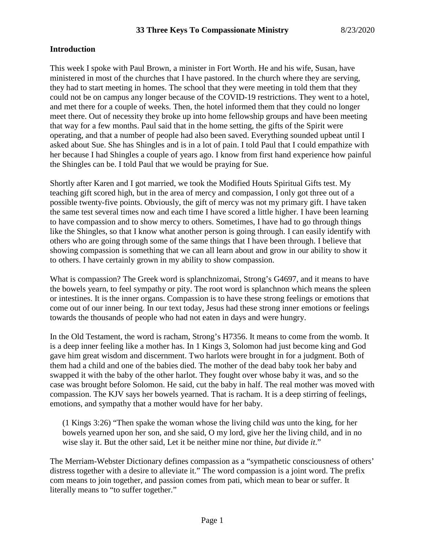## **Introduction**

This week I spoke with Paul Brown, a minister in Fort Worth. He and his wife, Susan, have ministered in most of the churches that I have pastored. In the church where they are serving, they had to start meeting in homes. The school that they were meeting in told them that they could not be on campus any longer because of the COVID-19 restrictions. They went to a hotel, and met there for a couple of weeks. Then, the hotel informed them that they could no longer meet there. Out of necessity they broke up into home fellowship groups and have been meeting that way for a few months. Paul said that in the home setting, the gifts of the Spirit were operating, and that a number of people had also been saved. Everything sounded upbeat until I asked about Sue. She has Shingles and is in a lot of pain. I told Paul that I could empathize with her because I had Shingles a couple of years ago. I know from first hand experience how painful the Shingles can be. I told Paul that we would be praying for Sue.

Shortly after Karen and I got married, we took the Modified Houts Spiritual Gifts test. My teaching gift scored high, but in the area of mercy and compassion, I only got three out of a possible twenty-five points. Obviously, the gift of mercy was not my primary gift. I have taken the same test several times now and each time I have scored a little higher. I have been learning to have compassion and to show mercy to others. Sometimes, I have had to go through things like the Shingles, so that I know what another person is going through. I can easily identify with others who are going through some of the same things that I have been through. I believe that showing compassion is something that we can all learn about and grow in our ability to show it to others. I have certainly grown in my ability to show compassion.

What is compassion? The Greek word is splanchnizomai, Strong's G4697, and it means to have the bowels yearn, to feel sympathy or pity. The root word is splanchnon which means the spleen or intestines. It is the inner organs. Compassion is to have these strong feelings or emotions that come out of our inner being. In our text today, Jesus had these strong inner emotions or feelings towards the thousands of people who had not eaten in days and were hungry.

In the Old Testament, the word is racham, Strong's H7356. It means to come from the womb. It is a deep inner feeling like a mother has. In 1 Kings 3, Solomon had just become king and God gave him great wisdom and discernment. Two harlots were brought in for a judgment. Both of them had a child and one of the babies died. The mother of the dead baby took her baby and swapped it with the baby of the other harlot. They fought over whose baby it was, and so the case was brought before Solomon. He said, cut the baby in half. The real mother was moved with compassion. The KJV says her bowels yearned. That is racham. It is a deep stirring of feelings, emotions, and sympathy that a mother would have for her baby.

(1 Kings 3:26) "Then spake the woman whose the living child *was* unto the king, for her bowels yearned upon her son, and she said, O my lord, give her the living child, and in no wise slay it. But the other said, Let it be neither mine nor thine, *but* divide *it*."

The Merriam-Webster Dictionary defines compassion as a "sympathetic consciousness of others' distress together with a desire to alleviate it." The word compassion is a joint word. The prefix com means to join together, and passion comes from pati, which mean to bear or suffer. It literally means to "to suffer together."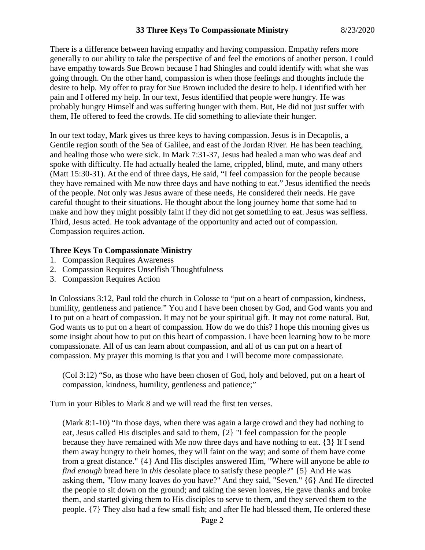There is a difference between having empathy and having compassion. Empathy refers more generally to our ability to take the perspective of and feel the emotions of another person. I could have empathy towards Sue Brown because I had Shingles and could identify with what she was going through. On the other hand, compassion is when those feelings and thoughts include the desire to help. My offer to pray for Sue Brown included the desire to help. I identified with her pain and I offered my help. In our text, Jesus identified that people were hungry. He was probably hungry Himself and was suffering hunger with them. But, He did not just suffer with them, He offered to feed the crowds. He did something to alleviate their hunger.

In our text today, Mark gives us three keys to having compassion. Jesus is in Decapolis, a Gentile region south of the Sea of Galilee, and east of the Jordan River. He has been teaching, and healing those who were sick. In Mark 7:31-37, Jesus had healed a man who was deaf and spoke with difficulty. He had actually healed the lame, crippled, blind, mute, and many others (Matt 15:30-31). At the end of three days, He said, "I feel compassion for the people because they have remained with Me now three days and have nothing to eat." Jesus identified the needs of the people. Not only was Jesus aware of these needs, He considered their needs. He gave careful thought to their situations. He thought about the long journey home that some had to make and how they might possibly faint if they did not get something to eat. Jesus was selfless. Third, Jesus acted. He took advantage of the opportunity and acted out of compassion. Compassion requires action.

#### **Three Keys To Compassionate Ministry**

- 1. Compassion Requires Awareness
- 2. Compassion Requires Unselfish Thoughtfulness
- 3. Compassion Requires Action

In Colossians 3:12, Paul told the church in Colosse to "put on a heart of compassion, kindness, humility, gentleness and patience." You and I have been chosen by God, and God wants you and I to put on a heart of compassion. It may not be your spiritual gift. It may not come natural. But, God wants us to put on a heart of compassion. How do we do this? I hope this morning gives us some insight about how to put on this heart of compassion. I have been learning how to be more compassionate. All of us can learn about compassion, and all of us can put on a heart of compassion. My prayer this morning is that you and I will become more compassionate.

(Col 3:12) "So, as those who have been chosen of God, holy and beloved, put on a heart of compassion, kindness, humility, gentleness and patience;"

Turn in your Bibles to Mark 8 and we will read the first ten verses.

(Mark 8:1-10) "In those days, when there was again a large crowd and they had nothing to eat, Jesus called His disciples and said to them, {2} "I feel compassion for the people because they have remained with Me now three days and have nothing to eat. {3} If I send them away hungry to their homes, they will faint on the way; and some of them have come from a great distance." {4} And His disciples answered Him, "Where will anyone be able *to find enough* bread here in *this* desolate place to satisfy these people?" {5} And He was asking them, "How many loaves do you have?" And they said, "Seven." {6} And He directed the people to sit down on the ground; and taking the seven loaves, He gave thanks and broke them, and started giving them to His disciples to serve to them, and they served them to the people. {7} They also had a few small fish; and after He had blessed them, He ordered these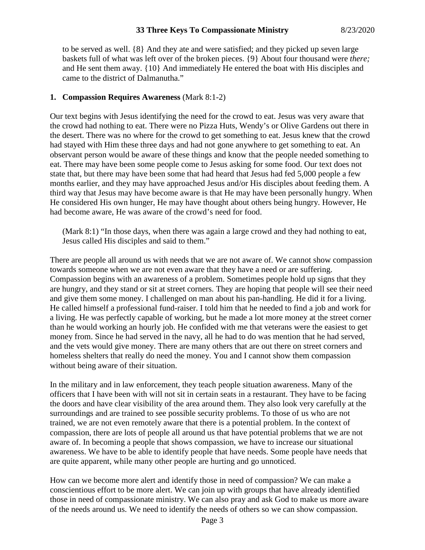to be served as well. {8} And they ate and were satisfied; and they picked up seven large baskets full of what was left over of the broken pieces. {9} About four thousand were *there;* and He sent them away. {10} And immediately He entered the boat with His disciples and came to the district of Dalmanutha."

# **1. Compassion Requires Awareness** (Mark 8:1-2)

Our text begins with Jesus identifying the need for the crowd to eat. Jesus was very aware that the crowd had nothing to eat. There were no Pizza Huts, Wendy's or Olive Gardens out there in the desert. There was no where for the crowd to get something to eat. Jesus knew that the crowd had stayed with Him these three days and had not gone anywhere to get something to eat. An observant person would be aware of these things and know that the people needed something to eat. There may have been some people come to Jesus asking for some food. Our text does not state that, but there may have been some that had heard that Jesus had fed 5,000 people a few months earlier, and they may have approached Jesus and/or His disciples about feeding them. A third way that Jesus may have become aware is that He may have been personally hungry. When He considered His own hunger, He may have thought about others being hungry. However, He had become aware, He was aware of the crowd's need for food.

(Mark 8:1) "In those days, when there was again a large crowd and they had nothing to eat, Jesus called His disciples and said to them."

There are people all around us with needs that we are not aware of. We cannot show compassion towards someone when we are not even aware that they have a need or are suffering. Compassion begins with an awareness of a problem. Sometimes people hold up signs that they are hungry, and they stand or sit at street corners. They are hoping that people will see their need and give them some money. I challenged on man about his pan-handling. He did it for a living. He called himself a professional fund-raiser. I told him that he needed to find a job and work for a living. He was perfectly capable of working, but he made a lot more money at the street corner than he would working an hourly job. He confided with me that veterans were the easiest to get money from. Since he had served in the navy, all he had to do was mention that he had served, and the vets would give money. There are many others that are out there on street corners and homeless shelters that really do need the money. You and I cannot show them compassion without being aware of their situation.

In the military and in law enforcement, they teach people situation awareness. Many of the officers that I have been with will not sit in certain seats in a restaurant. They have to be facing the doors and have clear visibility of the area around them. They also look very carefully at the surroundings and are trained to see possible security problems. To those of us who are not trained, we are not even remotely aware that there is a potential problem. In the context of compassion, there are lots of people all around us that have potential problems that we are not aware of. In becoming a people that shows compassion, we have to increase our situational awareness. We have to be able to identify people that have needs. Some people have needs that are quite apparent, while many other people are hurting and go unnoticed.

How can we become more alert and identify those in need of compassion? We can make a conscientious effort to be more alert. We can join up with groups that have already identified those in need of compassionate ministry. We can also pray and ask God to make us more aware of the needs around us. We need to identify the needs of others so we can show compassion.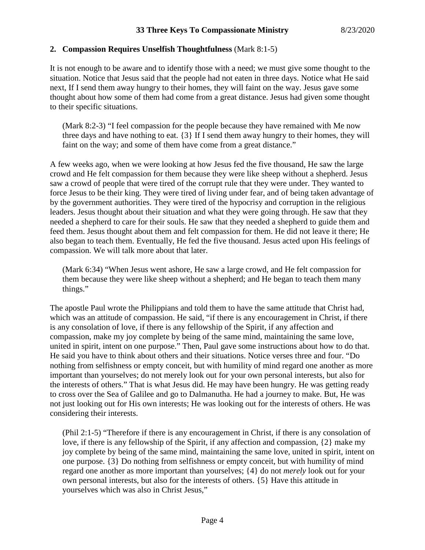# **2. Compassion Requires Unselfish Thoughtfulness** (Mark 8:1-5)

It is not enough to be aware and to identify those with a need; we must give some thought to the situation. Notice that Jesus said that the people had not eaten in three days. Notice what He said next, If I send them away hungry to their homes, they will faint on the way. Jesus gave some thought about how some of them had come from a great distance. Jesus had given some thought to their specific situations.

(Mark 8:2-3) "I feel compassion for the people because they have remained with Me now three days and have nothing to eat. {3} If I send them away hungry to their homes, they will faint on the way; and some of them have come from a great distance."

A few weeks ago, when we were looking at how Jesus fed the five thousand, He saw the large crowd and He felt compassion for them because they were like sheep without a shepherd. Jesus saw a crowd of people that were tired of the corrupt rule that they were under. They wanted to force Jesus to be their king. They were tired of living under fear, and of being taken advantage of by the government authorities. They were tired of the hypocrisy and corruption in the religious leaders. Jesus thought about their situation and what they were going through. He saw that they needed a shepherd to care for their souls. He saw that they needed a shepherd to guide them and feed them. Jesus thought about them and felt compassion for them. He did not leave it there; He also began to teach them. Eventually, He fed the five thousand. Jesus acted upon His feelings of compassion. We will talk more about that later.

(Mark 6:34) "When Jesus went ashore, He saw a large crowd, and He felt compassion for them because they were like sheep without a shepherd; and He began to teach them many things."

The apostle Paul wrote the Philippians and told them to have the same attitude that Christ had, which was an attitude of compassion. He said, "if there is any encouragement in Christ, if there is any consolation of love, if there is any fellowship of the Spirit, if any affection and compassion, make my joy complete by being of the same mind, maintaining the same love, united in spirit, intent on one purpose." Then, Paul gave some instructions about how to do that. He said you have to think about others and their situations. Notice verses three and four. "Do nothing from selfishness or empty conceit, but with humility of mind regard one another as more important than yourselves; do not merely look out for your own personal interests, but also for the interests of others." That is what Jesus did. He may have been hungry. He was getting ready to cross over the Sea of Galilee and go to Dalmanutha. He had a journey to make. But, He was not just looking out for His own interests; He was looking out for the interests of others. He was considering their interests.

(Phil 2:1-5) "Therefore if there is any encouragement in Christ, if there is any consolation of love, if there is any fellowship of the Spirit, if any affection and compassion, {2} make my joy complete by being of the same mind, maintaining the same love, united in spirit, intent on one purpose. {3} Do nothing from selfishness or empty conceit, but with humility of mind regard one another as more important than yourselves; {4} do not *merely* look out for your own personal interests, but also for the interests of others. {5} Have this attitude in yourselves which was also in Christ Jesus,"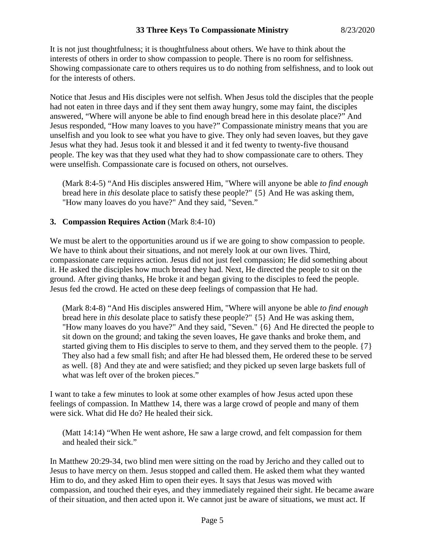It is not just thoughtfulness; it is thoughtfulness about others. We have to think about the interests of others in order to show compassion to people. There is no room for selfishness. Showing compassionate care to others requires us to do nothing from selfishness, and to look out for the interests of others.

Notice that Jesus and His disciples were not selfish. When Jesus told the disciples that the people had not eaten in three days and if they sent them away hungry, some may faint, the disciples answered, "Where will anyone be able to find enough bread here in this desolate place?" And Jesus responded, "How many loaves to you have?" Compassionate ministry means that you are unselfish and you look to see what you have to give. They only had seven loaves, but they gave Jesus what they had. Jesus took it and blessed it and it fed twenty to twenty-five thousand people. The key was that they used what they had to show compassionate care to others. They were unselfish. Compassionate care is focused on others, not ourselves.

(Mark 8:4-5) "And His disciples answered Him, "Where will anyone be able *to find enough* bread here in *this* desolate place to satisfy these people?" {5} And He was asking them, "How many loaves do you have?" And they said, "Seven."

## **3. Compassion Requires Action** (Mark 8:4-10)

We must be alert to the opportunities around us if we are going to show compassion to people. We have to think about their situations, and not merely look at our own lives. Third, compassionate care requires action. Jesus did not just feel compassion; He did something about it. He asked the disciples how much bread they had. Next, He directed the people to sit on the ground. After giving thanks, He broke it and began giving to the disciples to feed the people. Jesus fed the crowd. He acted on these deep feelings of compassion that He had.

(Mark 8:4-8) "And His disciples answered Him, "Where will anyone be able *to find enough* bread here in *this* desolate place to satisfy these people?" {5} And He was asking them, "How many loaves do you have?" And they said, "Seven." {6} And He directed the people to sit down on the ground; and taking the seven loaves, He gave thanks and broke them, and started giving them to His disciples to serve to them, and they served them to the people. {7} They also had a few small fish; and after He had blessed them, He ordered these to be served as well. {8} And they ate and were satisfied; and they picked up seven large baskets full of what was left over of the broken pieces."

I want to take a few minutes to look at some other examples of how Jesus acted upon these feelings of compassion. In Matthew 14, there was a large crowd of people and many of them were sick. What did He do? He healed their sick.

(Matt 14:14) "When He went ashore, He saw a large crowd, and felt compassion for them and healed their sick."

In Matthew 20:29-34, two blind men were sitting on the road by Jericho and they called out to Jesus to have mercy on them. Jesus stopped and called them. He asked them what they wanted Him to do, and they asked Him to open their eyes. It says that Jesus was moved with compassion, and touched their eyes, and they immediately regained their sight. He became aware of their situation, and then acted upon it. We cannot just be aware of situations, we must act. If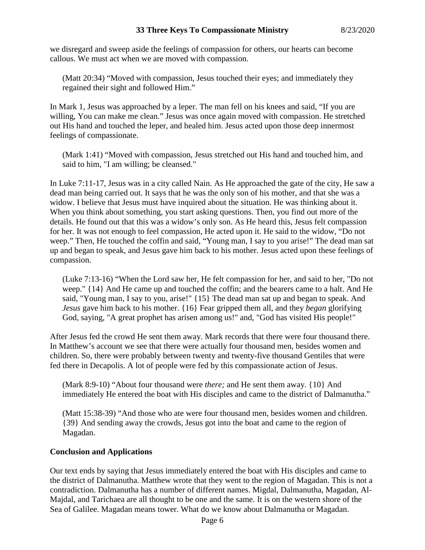# **33 Three Keys To Compassionate Ministry** 8/23/2020

we disregard and sweep aside the feelings of compassion for others, our hearts can become callous. We must act when we are moved with compassion.

(Matt 20:34) "Moved with compassion, Jesus touched their eyes; and immediately they regained their sight and followed Him."

In Mark 1, Jesus was approached by a leper. The man fell on his knees and said, "If you are willing, You can make me clean." Jesus was once again moved with compassion. He stretched out His hand and touched the leper, and healed him. Jesus acted upon those deep innermost feelings of compassionate.

(Mark 1:41) "Moved with compassion, Jesus stretched out His hand and touched him, and said to him, "I am willing; be cleansed."

In Luke 7:11-17, Jesus was in a city called Nain. As He approached the gate of the city, He saw a dead man being carried out. It says that he was the only son of his mother, and that she was a widow. I believe that Jesus must have inquired about the situation. He was thinking about it. When you think about something, you start asking questions. Then, you find out more of the details. He found out that this was a widow's only son. As He heard this, Jesus felt compassion for her. It was not enough to feel compassion, He acted upon it. He said to the widow, "Do not weep." Then, He touched the coffin and said, "Young man, I say to you arise!" The dead man sat up and began to speak, and Jesus gave him back to his mother. Jesus acted upon these feelings of compassion.

(Luke 7:13-16) "When the Lord saw her, He felt compassion for her, and said to her, "Do not weep." {14} And He came up and touched the coffin; and the bearers came to a halt. And He said, "Young man, I say to you, arise!" {15} The dead man sat up and began to speak. And *Jesus* gave him back to his mother. {16} Fear gripped them all, and they *began* glorifying God, saying, "A great prophet has arisen among us!" and, "God has visited His people!"

After Jesus fed the crowd He sent them away. Mark records that there were four thousand there. In Matthew's account we see that there were actually four thousand men, besides women and children. So, there were probably between twenty and twenty-five thousand Gentiles that were fed there in Decapolis. A lot of people were fed by this compassionate action of Jesus.

(Mark 8:9-10) "About four thousand were *there;* and He sent them away. {10} And immediately He entered the boat with His disciples and came to the district of Dalmanutha."

(Matt 15:38-39) "And those who ate were four thousand men, besides women and children. {39} And sending away the crowds, Jesus got into the boat and came to the region of Magadan.

#### **Conclusion and Applications**

Our text ends by saying that Jesus immediately entered the boat with His disciples and came to the district of Dalmanutha. Matthew wrote that they went to the region of Magadan. This is not a contradiction. Dalmanutha has a number of different names. Migdal, Dalmanutha, Magadan, Al-Majdal, and Tarichaea are all thought to be one and the same. It is on the western shore of the Sea of Galilee. Magadan means tower. What do we know about Dalmanutha or Magadan.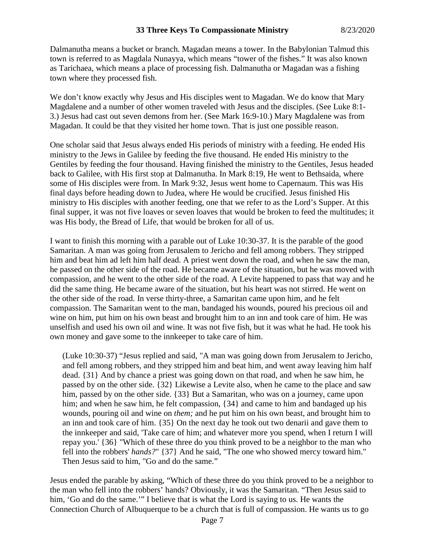Dalmanutha means a bucket or branch. Magadan means a tower. In the Babylonian Talmud this town is referred to as Magdala Nunayya, which means "tower of the fishes." It was also known as Tarichaea, which means a place of processing fish. Dalmanutha or Magadan was a fishing town where they processed fish.

We don't know exactly why Jesus and His disciples went to Magadan. We do know that Mary Magdalene and a number of other women traveled with Jesus and the disciples. (See Luke 8:1- 3.) Jesus had cast out seven demons from her. (See Mark 16:9-10.) Mary Magdalene was from Magadan. It could be that they visited her home town. That is just one possible reason.

One scholar said that Jesus always ended His periods of ministry with a feeding. He ended His ministry to the Jews in Galilee by feeding the five thousand. He ended His ministry to the Gentiles by feeding the four thousand. Having finished the ministry to the Gentiles, Jesus headed back to Galilee, with His first stop at Dalmanutha. In Mark 8:19, He went to Bethsaida, where some of His disciples were from. In Mark 9:32, Jesus went home to Capernaum. This was His final days before heading down to Judea, where He would be crucified. Jesus finished His ministry to His disciples with another feeding, one that we refer to as the Lord's Supper. At this final supper, it was not five loaves or seven loaves that would be broken to feed the multitudes; it was His body, the Bread of Life, that would be broken for all of us.

I want to finish this morning with a parable out of Luke 10:30-37. It is the parable of the good Samaritan. A man was going from Jerusalem to Jericho and fell among robbers. They stripped him and beat him ad left him half dead. A priest went down the road, and when he saw the man, he passed on the other side of the road. He became aware of the situation, but he was moved with compassion, and he went to the other side of the road. A Levite happened to pass that way and he did the same thing. He became aware of the situation, but his heart was not stirred. He went on the other side of the road. In verse thirty-three, a Samaritan came upon him, and he felt compassion. The Samaritan went to the man, bandaged his wounds, poured his precious oil and wine on him, put him on his own beast and brought him to an inn and took care of him. He was unselfish and used his own oil and wine. It was not five fish, but it was what he had. He took his own money and gave some to the innkeeper to take care of him.

(Luke 10:30-37) "Jesus replied and said, "A man was going down from Jerusalem to Jericho, and fell among robbers, and they stripped him and beat him, and went away leaving him half dead. {31} And by chance a priest was going down on that road, and when he saw him, he passed by on the other side. {32} Likewise a Levite also, when he came to the place and saw him, passed by on the other side. {33} But a Samaritan, who was on a journey, came upon him; and when he saw him, he felt compassion,  $\{34\}$  and came to him and bandaged up his wounds, pouring oil and wine on *them;* and he put him on his own beast, and brought him to an inn and took care of him. {35} On the next day he took out two denarii and gave them to the innkeeper and said, 'Take care of him; and whatever more you spend, when I return I will repay you.' {36} "Which of these three do you think proved to be a neighbor to the man who fell into the robbers' *hands?*" {37} And he said, "The one who showed mercy toward him." Then Jesus said to him, "Go and do the same."

Jesus ended the parable by asking, "Which of these three do you think proved to be a neighbor to the man who fell into the robbers' hands? Obviously, it was the Samaritan. "Then Jesus said to him, 'Go and do the same.'" I believe that is what the Lord is saying to us. He wants the Connection Church of Albuquerque to be a church that is full of compassion. He wants us to go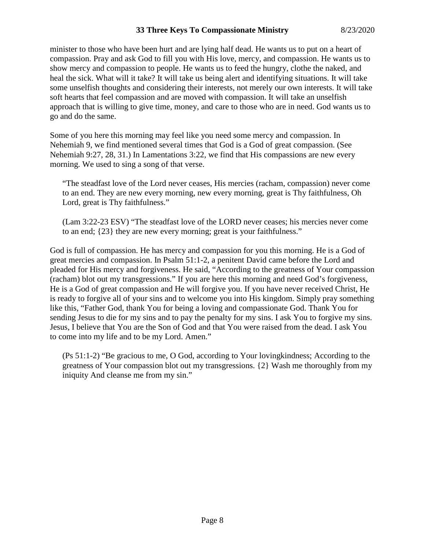minister to those who have been hurt and are lying half dead. He wants us to put on a heart of compassion. Pray and ask God to fill you with His love, mercy, and compassion. He wants us to show mercy and compassion to people. He wants us to feed the hungry, clothe the naked, and heal the sick. What will it take? It will take us being alert and identifying situations. It will take some unselfish thoughts and considering their interests, not merely our own interests. It will take soft hearts that feel compassion and are moved with compassion. It will take an unselfish approach that is willing to give time, money, and care to those who are in need. God wants us to go and do the same.

Some of you here this morning may feel like you need some mercy and compassion. In Nehemiah 9, we find mentioned several times that God is a God of great compassion. (See Nehemiah 9:27, 28, 31.) In Lamentations 3:22, we find that His compassions are new every morning. We used to sing a song of that verse.

"The steadfast love of the Lord never ceases, His mercies (racham, compassion) never come to an end. They are new every morning, new every morning, great is Thy faithfulness, Oh Lord, great is Thy faithfulness."

(Lam 3:22-23 ESV) "The steadfast love of the LORD never ceases; his mercies never come to an end; {23} they are new every morning; great is your faithfulness."

God is full of compassion. He has mercy and compassion for you this morning. He is a God of great mercies and compassion. In Psalm 51:1-2, a penitent David came before the Lord and pleaded for His mercy and forgiveness. He said, "According to the greatness of Your compassion (racham) blot out my transgressions." If you are here this morning and need God's forgiveness, He is a God of great compassion and He will forgive you. If you have never received Christ, He is ready to forgive all of your sins and to welcome you into His kingdom. Simply pray something like this, "Father God, thank You for being a loving and compassionate God. Thank You for sending Jesus to die for my sins and to pay the penalty for my sins. I ask You to forgive my sins. Jesus, I believe that You are the Son of God and that You were raised from the dead. I ask You to come into my life and to be my Lord. Amen."

(Ps 51:1-2) "Be gracious to me, O God, according to Your lovingkindness; According to the greatness of Your compassion blot out my transgressions. {2} Wash me thoroughly from my iniquity And cleanse me from my sin."